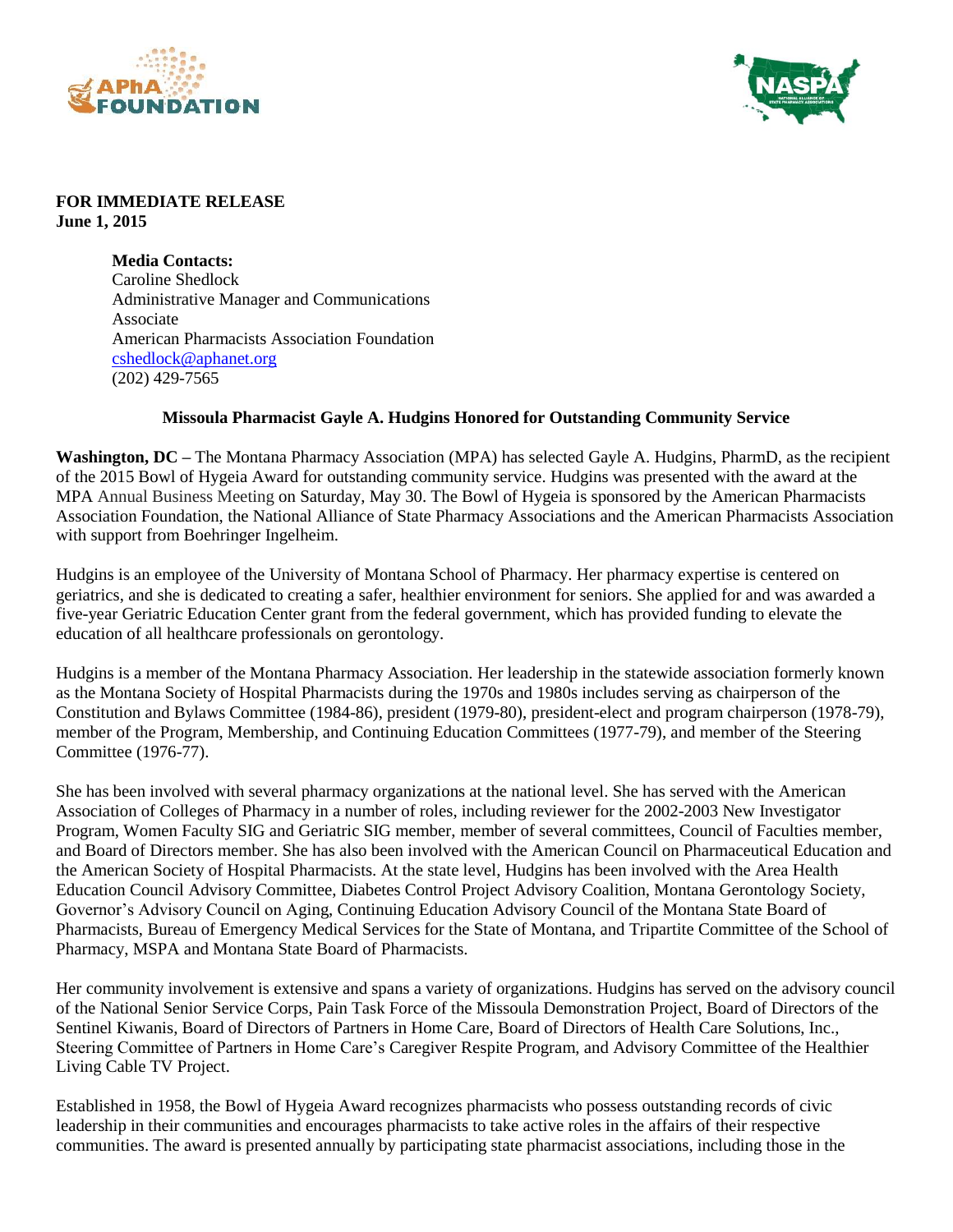



## **FOR IMMEDIATE RELEASE June 1, 2015**

**Media Contacts:** Caroline Shedlock Administrative Manager and Communications Associate American Pharmacists Association Foundation [cshedlock@aphanet.org](mailto:cshedlock@aphanet.org) (202) 429-7565

## **Missoula Pharmacist Gayle A. Hudgins Honored for Outstanding Community Service**

**Washington, DC –** The Montana Pharmacy Association (MPA) has selected Gayle A. Hudgins, PharmD, as the recipient of the 2015 Bowl of Hygeia Award for outstanding community service. Hudgins was presented with the award at the MPA Annual Business Meeting on Saturday, May 30. The Bowl of Hygeia is sponsored by the American Pharmacists Association Foundation, the National Alliance of State Pharmacy Associations and the American Pharmacists Association with support from Boehringer Ingelheim.

Hudgins is an employee of the University of Montana School of Pharmacy. Her pharmacy expertise is centered on geriatrics, and she is dedicated to creating a safer, healthier environment for seniors. She applied for and was awarded a five-year Geriatric Education Center grant from the federal government, which has provided funding to elevate the education of all healthcare professionals on gerontology.

Hudgins is a member of the Montana Pharmacy Association. Her leadership in the statewide association formerly known as the Montana Society of Hospital Pharmacists during the 1970s and 1980s includes serving as chairperson of the Constitution and Bylaws Committee (1984-86), president (1979-80), president-elect and program chairperson (1978-79), member of the Program, Membership, and Continuing Education Committees (1977-79), and member of the Steering Committee (1976-77).

She has been involved with several pharmacy organizations at the national level. She has served with the American Association of Colleges of Pharmacy in a number of roles, including reviewer for the 2002-2003 New Investigator Program, Women Faculty SIG and Geriatric SIG member, member of several committees, Council of Faculties member, and Board of Directors member. She has also been involved with the American Council on Pharmaceutical Education and the American Society of Hospital Pharmacists. At the state level, Hudgins has been involved with the Area Health Education Council Advisory Committee, Diabetes Control Project Advisory Coalition, Montana Gerontology Society, Governor's Advisory Council on Aging, Continuing Education Advisory Council of the Montana State Board of Pharmacists, Bureau of Emergency Medical Services for the State of Montana, and Tripartite Committee of the School of Pharmacy, MSPA and Montana State Board of Pharmacists.

Her community involvement is extensive and spans a variety of organizations. Hudgins has served on the advisory council of the National Senior Service Corps, Pain Task Force of the Missoula Demonstration Project, Board of Directors of the Sentinel Kiwanis, Board of Directors of Partners in Home Care, Board of Directors of Health Care Solutions, Inc., Steering Committee of Partners in Home Care's Caregiver Respite Program, and Advisory Committee of the Healthier Living Cable TV Project.

Established in 1958, the Bowl of Hygeia Award recognizes pharmacists who possess outstanding records of civic leadership in their communities and encourages pharmacists to take active roles in the affairs of their respective communities. The award is presented annually by participating state pharmacist associations, including those in the